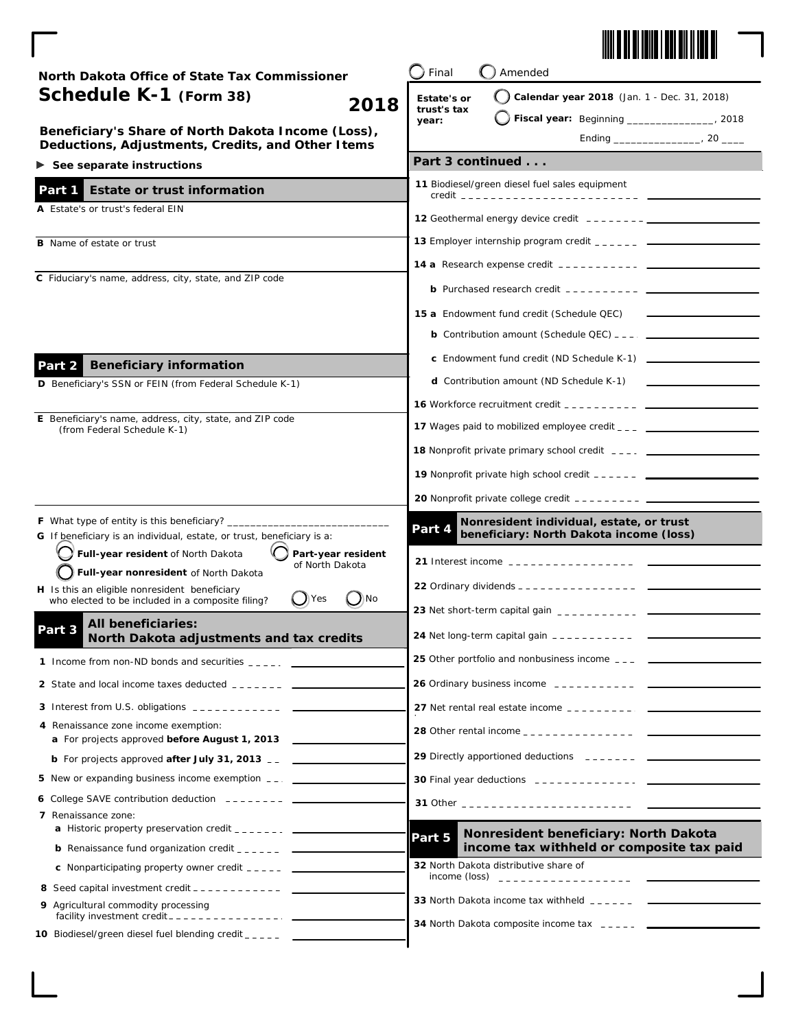

| North Dakota Office of State Tax Commissioner                                                                        | Final<br>Amended                                                                             |  |
|----------------------------------------------------------------------------------------------------------------------|----------------------------------------------------------------------------------------------|--|
| Schedule K-1 (Form 38)                                                                                               | Calendar year 2018 (Jan. 1 - Dec. 31, 2018)<br><b>Estate's or</b>                            |  |
| 2018                                                                                                                 | trust's tax<br>Fiscal year: Beginning ________________, 2018<br>year:                        |  |
| Beneficiary's Share of North Dakota Income (Loss),<br>Deductions, Adjustments, Credits, and Other I tems             |                                                                                              |  |
| $\triangleright$ See separate instructions                                                                           | Part 3 continued                                                                             |  |
| Part 1<br><b>Estate or trust information</b>                                                                         | 11 Biodiesel/green diesel fuel sales equipment                                               |  |
| A Estate's or trust's federal EIN                                                                                    |                                                                                              |  |
|                                                                                                                      |                                                                                              |  |
| <b>B</b> Name of estate or trust                                                                                     |                                                                                              |  |
| C Fiduciary's name, address, city, state, and ZIP code                                                               |                                                                                              |  |
|                                                                                                                      |                                                                                              |  |
|                                                                                                                      | 15 a Endowment fund credit (Schedule QEC)                                                    |  |
|                                                                                                                      |                                                                                              |  |
| <b>Beneficiary information</b><br>Part 2                                                                             |                                                                                              |  |
| D Beneficiary's SSN or FEIN (from Federal Schedule K-1)                                                              | <b>d</b> Contribution amount (ND Schedule K-1)                                               |  |
|                                                                                                                      |                                                                                              |  |
| E Beneficiary's name, address, city, state, and ZIP code<br>(from Federal Schedule K-1)                              |                                                                                              |  |
|                                                                                                                      |                                                                                              |  |
|                                                                                                                      |                                                                                              |  |
|                                                                                                                      |                                                                                              |  |
| <b>F</b> What type of entity is this beneficiary? __                                                                 | Nonresident individual, estate, or trust                                                     |  |
| G If beneficiary is an individual, estate, or trust, beneficiary is a:                                               | Part 4<br>beneficiary: North Dakota income (loss)                                            |  |
| Full-year resident of North Dakota<br>Part-year resident<br>of North Dakota<br>Full-year nonresident of North Dakota |                                                                                              |  |
| H Is this an eligible nonresident beneficiary                                                                        |                                                                                              |  |
| N<br>$\int$ ) Yes<br>who elected to be included in a composite filing?                                               |                                                                                              |  |
| All beneficiaries:<br>Part 3<br>North Dakota adjustments and tax credits                                             | <b>24</b> Net long-term capital gain ---------- $\frac{1}{2}$                                |  |
| 1 Income from non-ND bonds and securities $\frac{1}{2}$                                                              | 25 Other portfolio and nonbusiness income ___ __ ______________                              |  |
| 2 State and local income taxes deducted _______ ___                                                                  |                                                                                              |  |
|                                                                                                                      |                                                                                              |  |
| 4 Renaissance zone income exemption:<br>a For projects approved before August 1, 2013                                |                                                                                              |  |
| <b>b</b> For projects approved <b>after July 31, 2013</b> $\overline{a}$                                             | 29 Directly apportioned deductions _______ __ ____                                           |  |
| 5 New or expanding business income exemption __.                                                                     |                                                                                              |  |
| 6 College SAVE contribution deduction $---$                                                                          |                                                                                              |  |
| 7 Renaissance zone:                                                                                                  |                                                                                              |  |
| <b>b</b> Renaissance fund organization credit $\frac{1}{2}$ $\frac{1}{2}$ $\frac{1}{2}$ $\frac{1}{2}$ $\frac{1}{2}$  | Nonresident beneficiary: North Dakota<br>Part 5<br>income tax withheld or composite tax paid |  |
| <b>c</b> Nonparticipating property owner credit $---$                                                                | 32 North Dakota distributive share of                                                        |  |
|                                                                                                                      |                                                                                              |  |
| 9 Agricultural commodity processing                                                                                  | 33 North Dakota income tax withheld ______ ___                                               |  |
| 10 Biodiesel/green diesel fuel blending credit _____ ___________________________                                     |                                                                                              |  |
|                                                                                                                      |                                                                                              |  |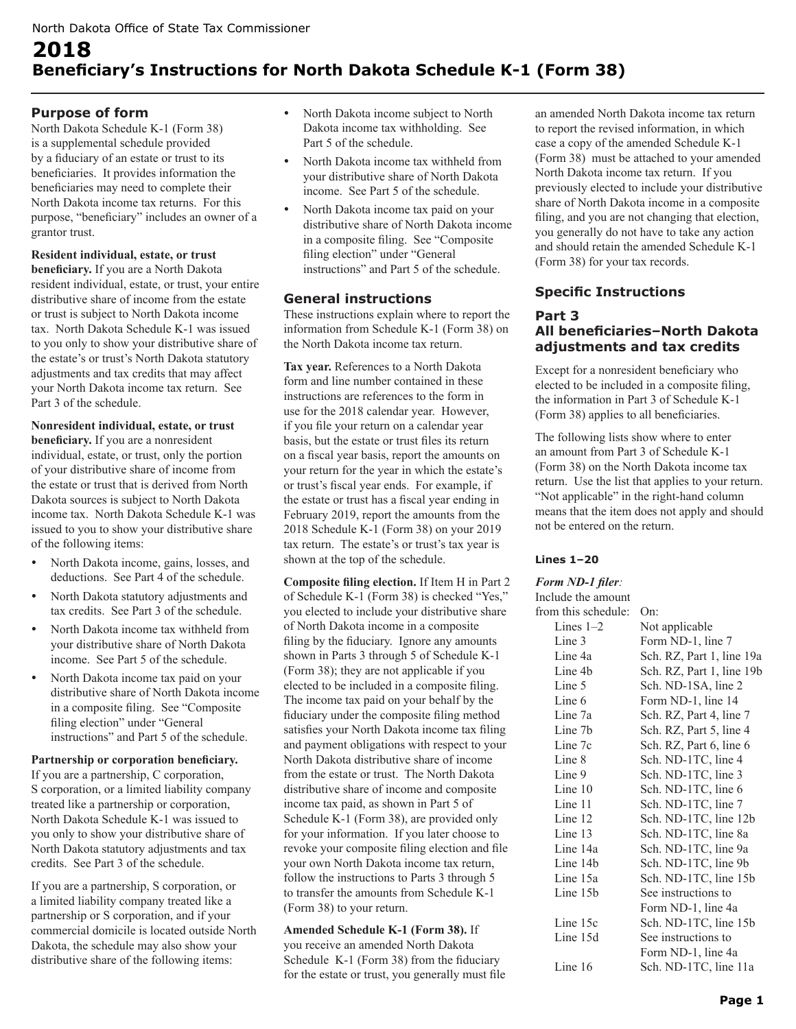# **2018 Beneficiary's Instructions for North Dakota Schedule K-1 (Form 38)**

# **Purpose of form**

North Dakota Schedule K-1 (Form 38) is a supplemental schedule provided by a fiduciary of an estate or trust to its beneficiaries. It provides information the beneficiaries may need to complete their North Dakota income tax returns. For this purpose, "beneficiary" includes an owner of a grantor trust.

#### **Resident individual, estate, or trust**

**beneficiary.** If you are a North Dakota resident individual, estate, or trust, your entire distributive share of income from the estate or trust is subject to North Dakota income tax. North Dakota Schedule K-1 was issued to you only to show your distributive share of the estate's or trust's North Dakota statutory adjustments and tax credits that may affect your North Dakota income tax return. See Part 3 of the schedule.

**Nonresident individual, estate, or trust beneficiary.** If you are a nonresident individual, estate, or trust, only the portion of your distributive share of income from the estate or trust that is derived from North Dakota sources is subject to North Dakota income tax. North Dakota Schedule K-1 was issued to you to show your distributive share of the following items:

- North Dakota income, gains, losses, and deductions. See Part 4 of the schedule.
- North Dakota statutory adjustments and tax credits. See Part 3 of the schedule.
- North Dakota income tax withheld from your distributive share of North Dakota income. See Part 5 of the schedule.
- North Dakota income tax paid on your distributive share of North Dakota income in a composite filing. See "Composite filing election" under "General instructions" and Part 5 of the schedule.

#### **Partnership or corporation beneficiary.**

If you are a partnership, C corporation, S corporation, or a limited liability company treated like a partnership or corporation, North Dakota Schedule K-1 was issued to you only to show your distributive share of North Dakota statutory adjustments and tax credits. See Part 3 of the schedule.

If you are a partnership, S corporation, or a limited liability company treated like a partnership or S corporation, and if your commercial domicile is located outside North Dakota, the schedule may also show your distributive share of the following items:

- North Dakota income subject to North Dakota income tax withholding. See Part 5 of the schedule.
- North Dakota income tax withheld from your distributive share of North Dakota income. See Part 5 of the schedule.
- North Dakota income tax paid on your distributive share of North Dakota income in a composite filing. See "Composite filing election" under "General instructions" and Part 5 of the schedule.

# **General instructions**

These instructions explain where to report the information from Schedule K-1 (Form 38) on the North Dakota income tax return.

**Tax year.** References to a North Dakota form and line number contained in these instructions are references to the form in use for the 2018 calendar year. However, if you file your return on a calendar year basis, but the estate or trust files its return on a fiscal year basis, report the amounts on your return for the year in which the estate's or trust's fiscal year ends. For example, if the estate or trust has a fiscal year ending in February 2019, report the amounts from the 2018 Schedule K-1 (Form 38) on your 2019 tax return. The estate's or trust's tax year is shown at the top of the schedule.

**Composite filing election.** If Item H in Part 2 of Schedule K-1 (Form 38) is checked "Yes," you elected to include your distributive share of North Dakota income in a composite filing by the fiduciary. Ignore any amounts shown in Parts 3 through 5 of Schedule K-1 (Form 38); they are not applicable if you elected to be included in a composite filing. The income tax paid on your behalf by the fiduciary under the composite filing method satisfies your North Dakota income tax filing and payment obligations with respect to your North Dakota distributive share of income from the estate or trust. The North Dakota distributive share of income and composite income tax paid, as shown in Part 5 of Schedule K-1 (Form 38), are provided only for your information. If you later choose to revoke your composite filing election and file your own North Dakota income tax return, follow the instructions to Parts 3 through 5 to transfer the amounts from Schedule K-1 (Form 38) to your return.

**Amended Schedule K-1 (Form 38).** If you receive an amended North Dakota Schedule K-1 (Form 38) from the fiduciary for the estate or trust, you generally must file an amended North Dakota income tax return to report the revised information, in which case a copy of the amended Schedule K-1 (Form 38) must be attached to your amended North Dakota income tax return. If you previously elected to include your distributive share of North Dakota income in a composite filing, and you are not changing that election, you generally do not have to take any action and should retain the amended Schedule K-1 (Form 38) for your tax records.

# **Specific Instructions**

# **Part 3 All beneficiaries–North Dakota adjustments and tax credits**

Except for a nonresident beneficiary who elected to be included in a composite filing, the information in Part 3 of Schedule K-1 (Form 38) applies to all beneficiaries.

The following lists show where to enter an amount from Part 3 of Schedule K-1 (Form 38) on the North Dakota income tax return. Use the list that applies to your return. "Not applicable" in the right-hand column means that the item does not apply and should not be entered on the return.

#### **Lines 1–20**

#### *Form ND-1 filer:*

| Include the amount   |                           |
|----------------------|---------------------------|
| from this schedule:  | On:                       |
| Lines $1-2$          | Not applicable            |
| Line 3               | Form ND-1, line 7         |
| Line 4a              | Sch. RZ, Part 1, line 19a |
| Line 4b              | Sch. RZ, Part 1, line 19b |
| Line 5               | Sch. ND-1SA, line 2       |
| Line 6               | Form ND-1, line 14        |
| Line 7a              | Sch. RZ, Part 4, line 7   |
| Line 7b              | Sch. RZ, Part 5, line 4   |
| Line 7c              | Sch. RZ, Part 6, line 6   |
| Line 8               | Sch. ND-1TC, line 4       |
| Line 9               | Sch. ND-1TC, line 3       |
| Line 10              | Sch. ND-1TC, line 6       |
| Line 11              | Sch. ND-1TC, line 7       |
| Line 12              | Sch. ND-1TC, line 12b     |
| Line 13              | Sch. ND-1TC, line 8a      |
| Line 14a             | Sch. ND-1TC, line 9a      |
| Line 14 <sub>b</sub> | Sch. ND-1TC, line 9b      |
| Line 15a             | Sch. ND-1TC, line 15b     |
| Line 15b             | See instructions to       |
|                      | Form ND-1, line 4a        |
| Line 15c             | Sch. ND-1TC, line 15b     |
| Line 15d             | See instructions to       |
|                      | Form ND-1, line 4a        |
| Line 16              | Sch. ND-1TC, line 11a     |
|                      |                           |